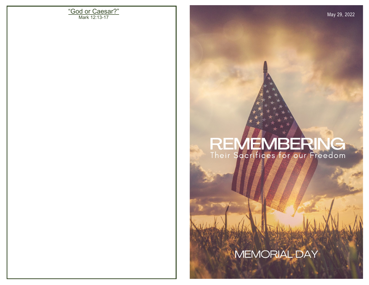#### "God or Caesar?" Mark 12:13-17

# REMEMBERING

# **MEMORIAL DAY**